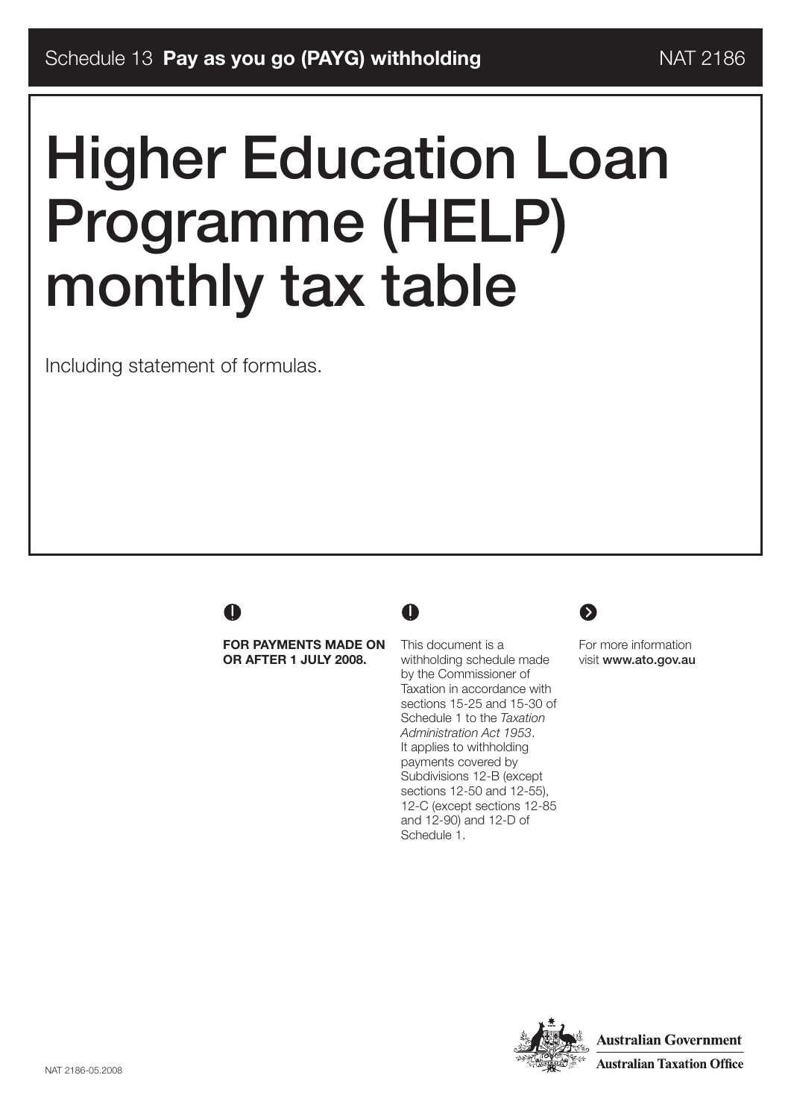# Higher Education Loan Programme (HELP) monthly tax table

Including statement of formulas.

## A

**For payments made on or after 1 July 2008.**

This document is a withholding schedule made by the Commissioner of Taxation in accordance with sections 15-25 and 15-30 of Schedule 1 to the *Taxation Administration Act 1953*. It applies to withholding payments covered by Subdivisions 12-B (except sections 12-50 and 12-55), 12-C (except sections 12-85 and 12-90) and 12-D of Schedule 1.

 $\mathbf 0$ 



For more information visit www.ato.gov.au

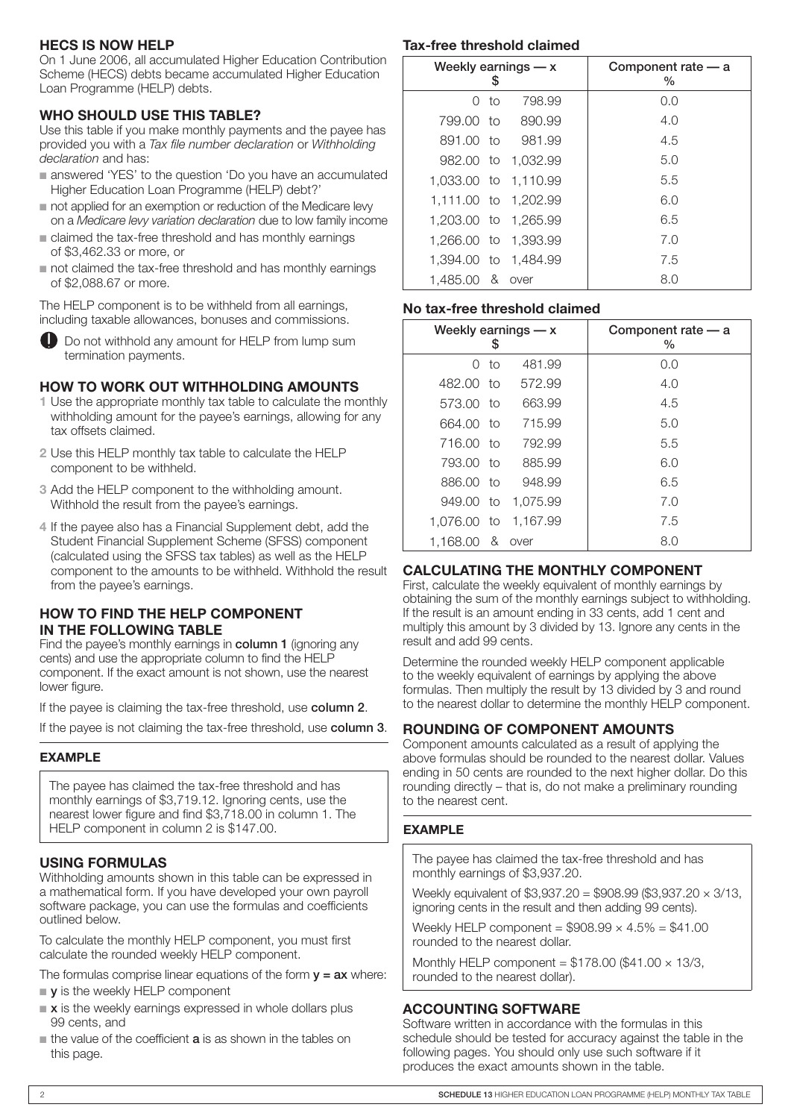#### **HECS is now HELP**

On 1 June 2006, all accumulated Higher Education Contribution Scheme (HECS) debts became accumulated Higher Education Loan Programme (HELP) debts.

#### **WHO SHOULD USE THIS TABLE?**

Use this table if you make monthly payments and the payee has provided you with a *Tax file number declaration* or *Withholding declaration* and has:

- answered 'YES' to the question 'Do you have an accumulated Higher Education Loan Programme (HELP) debt?'
- not applied for an exemption or reduction of the Medicare lew on a *Medicare levy variation declaration* due to low family income
- n claimed the tax-free threshold and has monthly earnings of \$3,462.33 or more, or
- not claimed the tax-free threshold and has monthly earnings of \$2,088.67 or more.

The HELP component is to be withheld from all earnings, including taxable allowances, bonuses and commissions.



#### **HOW TO WORK OUT WITHHOLDING AMOUNTS**

- **1** Use the appropriate monthly tax table to calculate the monthly withholding amount for the payee's earnings, allowing for any tax offsets claimed.
- **2** Use this HELP monthly tax table to calculate the HELP component to be withheld.
- **3** Add the HELP component to the withholding amount. Withhold the result from the payee's earnings.
- **4** If the payee also has a Financial Supplement debt, add the Student Financial Supplement Scheme (SFSS) component (calculated using the SFSS tax tables) as well as the HELP component to the amounts to be withheld. Withhold the result from the payee's earnings.

#### **HOW TO FIND THE HELP COMPONENT IN THE FOLLOWING TABLE**

Find the payee's monthly earnings in column 1 (ignoring any cents) and use the appropriate column to find the HELP component. If the exact amount is not shown, use the nearest lower figure.

If the payee is claiming the tax-free threshold, use column 2.

If the payee is not claiming the tax-free threshold, use column 3.

#### **EXAMPLE**

The payee has claimed the tax-free threshold and has monthly earnings of \$3,719.12. Ignoring cents, use the nearest lower figure and find \$3,718.00 in column 1. The HELP component in column 2 is \$147.00.

### **USING FORMULAS**

Withholding amounts shown in this table can be expressed in a mathematical form. If you have developed your own payroll software package, you can use the formulas and coefficients outlined below.

To calculate the monthly HELP component, you must first calculate the rounded weekly HELP component.

- The formulas comprise linear equations of the form  $y = ax$  where:  $\bullet$  y is the weekly HELP component
- $\bullet$  x is the weekly earnings expressed in whole dollars plus 99 cents, and
- $\blacksquare$  the value of the coefficient  $\boldsymbol{a}$  is as shown in the tables on this page.

#### **Tax-free threshold claimed**

|            |      | Weekly earnings $-x$ | Component rate - a<br>$\%$ |
|------------|------|----------------------|----------------------------|
|            | n to | 798.99               | 0.0                        |
| 799.00 to  |      | 890.99               | 4.0                        |
| 891.00 to  |      | 981.99               | 4.5                        |
|            |      | 982.00 to 1.032.99   | 5.0                        |
|            |      | 1,033.00 to 1,110.99 | 5.5                        |
|            |      | 1,111.00 to 1,202.99 | 6.0                        |
|            |      | 1,203.00 to 1,265.99 | 6.5                        |
|            |      | 1,266.00 to 1,393.99 | 7.0                        |
|            |      | 1,394.00 to 1,484.99 | 7.5                        |
| 1.485.00 & |      | over                 | 8.0                        |

#### **No tax-free threshold claimed**

|             | S    | Weekly earnings $-x$ | Component rate - a<br>$\%$ |
|-------------|------|----------------------|----------------------------|
|             | 0 to | 481.99               | 0.0                        |
| 482.00 to   |      | 572.99               | 4.0                        |
| 573.00 to   |      | 663.99               | 4.5                        |
| 664.00 to   |      | 715.99               | 5.0                        |
| 716.00 to   |      | 792.99               | 5.5                        |
| 793.00 to   |      | 885.99               | 6.0                        |
| 886.00 to   |      | 948.99               | 6.5                        |
| 949.00 to   |      | 1,075.99             | 7.0                        |
| 1.076.00 to |      | 1,167.99             | 7.5                        |
| 1,168.00 &  |      | over                 | 8.0                        |

#### **CALCULATING THE Monthly COMPONENT**

First, calculate the weekly equivalent of monthly earnings by obtaining the sum of the monthly earnings subject to withholding. If the result is an amount ending in 33 cents, add 1 cent and multiply this amount by 3 divided by 13. Ignore any cents in the result and add 99 cents.

Determine the rounded weekly HELP component applicable to the weekly equivalent of earnings by applying the above formulas. Then multiply the result by 13 divided by 3 and round to the nearest dollar to determine the monthly HELP component.

#### **Rounding of component amounts**

Component amounts calculated as a result of applying the above formulas should be rounded to the nearest dollar. Values ending in 50 cents are rounded to the next higher dollar. Do this rounding directly – that is, do not make a preliminary rounding to the nearest cent.

#### **EXAMPLE**

The payee has claimed the tax-free threshold and has monthly earnings of \$3,937.20.

Weekly equivalent of \$3,937.20 = \$908.99 (\$3,937.20 × 3/13, ignoring cents in the result and then adding 99 cents).

Weekly HELP component =  $$908.99 \times 4.5\% = $41.00$ rounded to the nearest dollar.

Monthly HELP component =  $$178.00$  (\$41.00  $\times$  13/3, rounded to the nearest dollar).

#### **Accounting software**

Software written in accordance with the formulas in this schedule should be tested for accuracy against the table in the following pages. You should only use such software if it produces the exact amounts shown in the table.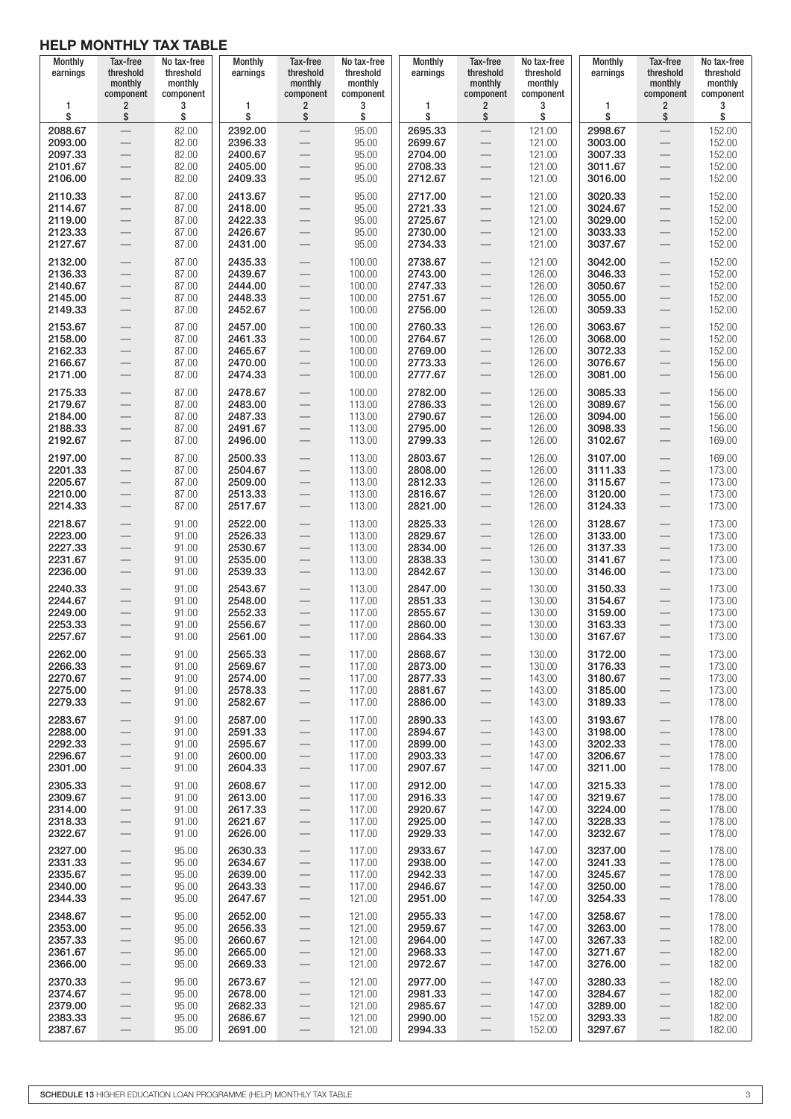| Monthly<br>earnings                                 | Tax-free<br>threshold<br>monthly<br>component                                                                                                      | No tax-free<br>threshold<br>monthly<br>component | <b>Monthly</b><br>earnings                          | Tax-free<br>threshold<br>monthly<br>component                                                                          | No tax-free<br>threshold<br>monthly<br>component | Monthly<br>earnings                                 | Tax-free<br>threshold<br>monthly<br>component                                                         | No tax-free<br>threshold<br>monthly<br>component | Monthly<br>earnings                                 | Tax-free<br>threshold<br>monthly<br>component                                                                                                                         | No tax-free<br>threshold<br>monthly<br>component |
|-----------------------------------------------------|----------------------------------------------------------------------------------------------------------------------------------------------------|--------------------------------------------------|-----------------------------------------------------|------------------------------------------------------------------------------------------------------------------------|--------------------------------------------------|-----------------------------------------------------|-------------------------------------------------------------------------------------------------------|--------------------------------------------------|-----------------------------------------------------|-----------------------------------------------------------------------------------------------------------------------------------------------------------------------|--------------------------------------------------|
| 1                                                   | $\overline{\mathbf{c}}$                                                                                                                            | 3                                                | 1                                                   | $\overline{2}$                                                                                                         | 3                                                | 1                                                   | $\overline{\mathbf{c}}$                                                                               | 3                                                | 1                                                   | $\overline{2}$                                                                                                                                                        | 3                                                |
| \$                                                  | \$                                                                                                                                                 | \$                                               | \$                                                  | \$                                                                                                                     | \$                                               | \$                                                  | \$                                                                                                    | \$                                               | \$                                                  | \$                                                                                                                                                                    | \$                                               |
| 2088.67                                             |                                                                                                                                                    | 82.00                                            | 2392.00                                             |                                                                                                                        | 95.00                                            | 2695.33                                             |                                                                                                       | 121.00                                           | 2998.67                                             | $\qquad \qquad -$                                                                                                                                                     | 152.00                                           |
| 2093.00                                             |                                                                                                                                                    | 82.00                                            | 2396.33                                             | $\overline{\phantom{0}}$                                                                                               | 95.00                                            | 2699.67                                             |                                                                                                       | 121.00                                           | 3003.00                                             | $\overbrace{\phantom{12333}}$                                                                                                                                         | 152.00                                           |
| 2097.33                                             | $\qquad \qquad -$                                                                                                                                  | 82.00                                            | 2400.67                                             | $\qquad \qquad -$                                                                                                      | 95.00                                            | 2704.00                                             |                                                                                                       | 121.00                                           | 3007.33                                             | $\overbrace{\phantom{12332}}$                                                                                                                                         | 152.00                                           |
| 2101.67                                             | $\qquad \qquad -$                                                                                                                                  | 82.00                                            | 2405.00                                             | $\overline{\phantom{m}}$                                                                                               | 95.00                                            | 2708.33                                             | $\qquad \qquad -$                                                                                     | 121.00                                           | 3011.67                                             | $\qquad \qquad -$                                                                                                                                                     | 152.00                                           |
| 2106.00                                             |                                                                                                                                                    | 82.00                                            | 2409.33                                             | $\overbrace{\phantom{12333}}$                                                                                          | 95.00                                            | 2712.67                                             |                                                                                                       | 121.00                                           | 3016.00                                             | —                                                                                                                                                                     | 152.00                                           |
| 2110.33                                             | $\overline{\phantom{0}}$                                                                                                                           | 87.00                                            | 2413.67                                             | $\overbrace{\phantom{12333}}$                                                                                          | 95.00                                            | 2717.00                                             |                                                                                                       | 121.00                                           | 3020.33                                             | $\qquad \qquad -$                                                                                                                                                     | 152.00                                           |
| 2114.67                                             | $\qquad \qquad$                                                                                                                                    | 87.00                                            | 2418.00                                             | $\overline{\phantom{0}}$                                                                                               | 95.00                                            | 2721.33                                             |                                                                                                       | 121.00                                           | 3024.67                                             | $\qquad \qquad -$                                                                                                                                                     | 152.00                                           |
| 2119.00                                             |                                                                                                                                                    | 87.00                                            | 2422.33                                             |                                                                                                                        | 95.00                                            | 2725.67                                             | $\qquad \qquad -$                                                                                     | 121.00                                           | 3029.00                                             | $\overbrace{\phantom{12333}}$                                                                                                                                         | 152.00                                           |
| 2123.33                                             | $\qquad \qquad$                                                                                                                                    | 87.00                                            | 2426.67                                             |                                                                                                                        | 95.00                                            | 2730.00                                             |                                                                                                       | 121.00                                           | 3033.33                                             | $\overbrace{\phantom{12333}}$                                                                                                                                         | 152.00                                           |
| 2127.67                                             | $\overbrace{\phantom{12333}}$                                                                                                                      | 87.00                                            | 2431.00                                             | $\overbrace{\phantom{12333}}$                                                                                          | 95.00                                            | 2734.33                                             |                                                                                                       | 121.00                                           | 3037.67                                             | $\qquad \qquad -$                                                                                                                                                     | 152.00                                           |
| 2132.00                                             |                                                                                                                                                    | 87.00                                            | 2435.33                                             |                                                                                                                        | 100.00                                           | 2738.67                                             | $\overline{\phantom{0}}$                                                                              | 121.00                                           | 3042.00                                             | $\qquad \qquad -$                                                                                                                                                     | 152.00                                           |
| 2136.33                                             |                                                                                                                                                    | 87.00                                            | 2439.67                                             |                                                                                                                        | 100.00                                           | 2743.00                                             |                                                                                                       | 126.00                                           | 3046.33                                             | $\qquad \qquad -$                                                                                                                                                     | 152.00                                           |
| 2140.67                                             | $\overline{\phantom{0}}$                                                                                                                           | 87.00                                            | 2444.00                                             | $\overline{\phantom{m}}$                                                                                               | 100.00                                           | 2747.33                                             | $\overline{\phantom{0}}$                                                                              | 126.00                                           | 3050.67                                             |                                                                                                                                                                       | 152.00                                           |
| 2145.00                                             |                                                                                                                                                    | 87.00                                            | 2448.33                                             |                                                                                                                        | 100.00                                           | 2751.67                                             | $\qquad \qquad -$                                                                                     | 126.00                                           | 3055.00                                             | $\qquad \qquad -$                                                                                                                                                     | 152.00                                           |
| 2149.33                                             |                                                                                                                                                    | 87.00                                            | 2452.67                                             | $\overline{\phantom{m}}$                                                                                               | 100.00                                           | 2756.00                                             | $\qquad \qquad -$                                                                                     | 126.00                                           | 3059.33                                             | $\overline{\phantom{m}}$                                                                                                                                              | 152.00                                           |
| 2153.67                                             |                                                                                                                                                    | 87.00                                            | 2457.00                                             |                                                                                                                        | 100.00                                           | 2760.33                                             | $\qquad \qquad -$                                                                                     | 126.00                                           | 3063.67                                             | $\qquad \qquad -$                                                                                                                                                     | 152.00                                           |
| 2158.00                                             |                                                                                                                                                    | 87.00                                            | 2461.33                                             | $\overline{\phantom{m}}$                                                                                               | 100.00                                           | 2764.67                                             | $\qquad \qquad -$                                                                                     | 126.00                                           | 3068.00                                             | $\qquad \qquad -$                                                                                                                                                     | 152.00                                           |
| 2162.33                                             |                                                                                                                                                    | 87.00                                            | 2465.67                                             | $\overline{\phantom{0}}$                                                                                               | 100.00                                           | 2769.00                                             |                                                                                                       | 126.00                                           | 3072.33                                             |                                                                                                                                                                       | 152.00                                           |
| 2166.67                                             | $\qquad \qquad -$                                                                                                                                  | 87.00                                            | 2470.00                                             |                                                                                                                        | 100.00                                           | 2773.33                                             | $\qquad \qquad -$                                                                                     | 126.00                                           | 3076.67                                             | $\qquad \qquad -$                                                                                                                                                     | 156.00                                           |
| 2171.00                                             |                                                                                                                                                    | 87.00                                            | 2474.33                                             | $\hspace{0.1mm}-\hspace{0.1mm}$                                                                                        | 100.00                                           | 2777.67                                             |                                                                                                       | 126.00                                           | 3081.00                                             | $\qquad \qquad -$                                                                                                                                                     | 156.00                                           |
| 2175.33<br>2179.67<br>2184.00<br>2188.33<br>2192.67 | $\overline{\phantom{0}}$<br>$\overline{\phantom{0}}$<br>$\overline{\phantom{0}}$                                                                   | 87.00<br>87.00<br>87.00<br>87.00<br>87.00        | 2478.67<br>2483.00<br>2487.33<br>2491.67<br>2496.00 | $\overbrace{\phantom{12333}}$                                                                                          | 100.00<br>113.00<br>113.00<br>113.00<br>113.00   | 2782.00<br>2786.33<br>2790.67<br>2795.00<br>2799.33 | $\overline{\phantom{0}}$<br>$\overline{\phantom{0}}$                                                  | 126.00<br>126.00<br>126.00<br>126.00<br>126.00   | 3085.33<br>3089.67<br>3094.00<br>3098.33<br>3102.67 | $\qquad \qquad -$<br>$\qquad \qquad -$                                                                                                                                | 156.00<br>156.00<br>156.00<br>156.00<br>169.00   |
| 2197.00                                             | $\qquad \qquad -$                                                                                                                                  | 87.00                                            | 2500.33                                             | $\qquad \qquad -$                                                                                                      | 113.00                                           | 2803.67                                             | $\qquad \qquad -$                                                                                     | 126.00                                           | 3107.00                                             | $\qquad \qquad -$                                                                                                                                                     | 169.00                                           |
| 2201.33                                             | $\overline{\phantom{m}}$                                                                                                                           | 87.00                                            | 2504.67                                             | $\overline{\phantom{m}}$                                                                                               | 113.00                                           | 2808.00                                             | $\qquad \qquad -$                                                                                     | 126.00                                           | 3111.33                                             | $\qquad \qquad -$                                                                                                                                                     | 173.00                                           |
| 2205.67                                             | $\qquad \qquad -$                                                                                                                                  | 87.00                                            | 2509.00                                             | $\qquad \qquad -$                                                                                                      | 113.00                                           | 2812.33                                             | $\qquad \qquad -$                                                                                     | 126.00                                           | 3115.67                                             | $\qquad \qquad -$                                                                                                                                                     | 173.00                                           |
| 2210.00                                             | $\qquad \qquad -$                                                                                                                                  | 87.00                                            | 2513.33                                             | $\overline{\phantom{m}}$                                                                                               | 113.00                                           | 2816.67                                             | $\qquad \qquad -$                                                                                     | 126.00                                           | 3120.00                                             | $\qquad \qquad -$                                                                                                                                                     | 173.00                                           |
| 2214.33                                             | $\qquad \qquad -$                                                                                                                                  | 87.00                                            | 2517.67                                             | $\overbrace{\phantom{12333}}$                                                                                          | 113.00                                           | 2821.00                                             | $\qquad \qquad -$                                                                                     | 126.00                                           | 3124.33                                             | $\qquad \qquad -$                                                                                                                                                     | 173.00                                           |
| 2218.67<br>2223.00<br>2227.33<br>2231.67<br>2236.00 | $\overline{\phantom{0}}$<br>$\qquad \qquad -$                                                                                                      | 91.00<br>91.00<br>91.00<br>91.00<br>91.00        | 2522.00<br>2526.33<br>2530.67<br>2535.00<br>2539.33 | $\overbrace{\phantom{12333}}$<br>$\overline{\phantom{m}}$<br>$\overbrace{\phantom{12333}}$<br>$\overline{\phantom{0}}$ | 113.00<br>113.00<br>113.00<br>113.00<br>113.00   | 2825.33<br>2829.67<br>2834.00<br>2838.33<br>2842.67 | $\overline{\phantom{0}}$<br>$\overline{\phantom{0}}$                                                  | 126.00<br>126.00<br>126.00<br>130.00<br>130.00   | 3128.67<br>3133.00<br>3137.33<br>3141.67<br>3146.00 | $\qquad \qquad -$<br>$\qquad \qquad -$<br>$\qquad \qquad -$<br>$\qquad \qquad -$                                                                                      | 173.00<br>173.00<br>173.00<br>173.00<br>173.00   |
| 2240.33<br>2244.67<br>2249.00<br>2253.33<br>2257.67 | $\qquad \qquad -$<br>$\overbrace{\phantom{12332}}$<br>$\hspace{0.1mm}-\hspace{0.1mm}$<br>$\overbrace{\phantom{12333}}$<br>$\overline{\phantom{0}}$ | 91.00<br>91.00<br>91.00<br>91.00<br>91.00        | 2543.67<br>2548.00<br>2552.33<br>2556.67<br>2561.00 | $\qquad \qquad -$<br>$\hspace{0.1mm}-\hspace{0.1mm}$<br>$\hspace{0.1mm}-\hspace{0.1mm}$                                | 113.00<br>117.00<br>117.00<br>117.00<br>117.00   | 2847.00<br>2851.33<br>2855.67<br>2860.00<br>2864.33 | $\qquad \qquad -$                                                                                     | 130.00<br>130.00<br>130.00<br>130.00<br>130.00   | 3150.33<br>3154.67<br>3159.00<br>3163.33<br>3167.67 | $\overbrace{\phantom{12333}}$<br>$\overbrace{\phantom{12333}}$<br>$\hspace{0.1mm}-\hspace{0.1mm}$<br>$\overbrace{\phantom{12333}}$<br>$\hspace{0.1mm}-\hspace{0.1mm}$ | 173.00<br>173.00<br>173.00<br>173.00<br>173.00   |
| 2262.00                                             | $\qquad \qquad -$                                                                                                                                  | 91.00                                            | 2565.33                                             | $\qquad \qquad -$                                                                                                      | 117.00                                           | 2868.67                                             | $\qquad \qquad -$                                                                                     | 130.00                                           | 3172.00                                             | $\qquad \qquad -$                                                                                                                                                     | 173.00                                           |
| 2266.33                                             | $\qquad \qquad -$                                                                                                                                  | 91.00                                            | 2569.67                                             | $\overline{\phantom{0}}$                                                                                               | 117.00                                           | 2873.00                                             |                                                                                                       | 130.00                                           | 3176.33                                             | $\overline{\phantom{0}}$                                                                                                                                              | 173.00                                           |
| 2270.67                                             | $\overline{\phantom{0}}$                                                                                                                           | 91.00                                            | 2574.00                                             |                                                                                                                        | 117.00                                           | 2877.33                                             | $\overline{\phantom{0}}$                                                                              | 143.00                                           | 3180.67                                             | $\overline{\phantom{0}}$                                                                                                                                              | 173.00                                           |
| 2275.00                                             | $\overline{\phantom{0}}$                                                                                                                           | 91.00                                            | 2578.33                                             | $\overline{\phantom{0}}$                                                                                               | 117.00                                           | 2881.67                                             | $\overline{\phantom{0}}$                                                                              | 143.00                                           | 3185.00                                             | $\qquad \qquad -$                                                                                                                                                     | 173.00                                           |
| 2279.33                                             | $\qquad \qquad -$                                                                                                                                  | 91.00                                            | 2582.67                                             |                                                                                                                        | 117.00                                           | 2886.00                                             | $\qquad \qquad -$                                                                                     | 143.00                                           | 3189.33                                             | $\qquad \qquad -$                                                                                                                                                     | 178.00                                           |
| 2283.67                                             | $\overline{\phantom{0}}$                                                                                                                           | 91.00                                            | 2587.00                                             | $\overline{\phantom{0}}$                                                                                               | 117.00                                           | 2890.33                                             | $\qquad \qquad -$                                                                                     | 143.00                                           | 3193.67                                             | $\overline{\phantom{0}}$                                                                                                                                              | 178.00                                           |
| 2288.00                                             | $\qquad \qquad -$                                                                                                                                  | 91.00                                            | 2591.33                                             | $\qquad \qquad -$                                                                                                      | 117.00                                           | 2894.67                                             | $\qquad \qquad -$                                                                                     | 143.00                                           | 3198.00                                             | $\overline{\phantom{0}}$                                                                                                                                              | 178.00                                           |
| 2292.33                                             | $\qquad \qquad -$                                                                                                                                  | 91.00                                            | 2595.67                                             | $\qquad \qquad -$                                                                                                      | 117.00                                           | 2899.00                                             | $\qquad \qquad -$                                                                                     | 143.00                                           | 3202.33                                             | $\qquad \qquad -$                                                                                                                                                     | 178.00                                           |
| 2296.67                                             | $\overline{\phantom{0}}$                                                                                                                           | 91.00                                            | 2600.00                                             | $\qquad \qquad -$                                                                                                      | 117.00                                           | 2903.33                                             | $\qquad \qquad -$                                                                                     | 147.00                                           | 3206.67                                             | $\overline{\phantom{0}}$                                                                                                                                              | 178.00                                           |
| 2301.00                                             | $\qquad \qquad -$                                                                                                                                  | 91.00                                            | 2604.33                                             |                                                                                                                        | 117.00                                           | 2907.67                                             | $\overline{\phantom{0}}$                                                                              | 147.00                                           | 3211.00                                             | $\qquad \qquad -$                                                                                                                                                     | 178.00                                           |
| 2305.33                                             | $\overline{\phantom{0}}$                                                                                                                           | 91.00                                            | 2608.67                                             | $\overline{\phantom{0}}$                                                                                               | 117.00                                           | 2912.00                                             | $\overline{\phantom{0}}$                                                                              | 147.00                                           | 3215.33                                             | $\overline{\phantom{0}}$                                                                                                                                              | 178.00                                           |
| 2309.67                                             | $\qquad \qquad -$                                                                                                                                  | 91.00                                            | 2613.00                                             | $\overline{\phantom{0}}$                                                                                               | 117.00                                           | 2916.33                                             | $\qquad \qquad -$                                                                                     | 147.00                                           | 3219.67                                             | $\overline{\phantom{0}}$                                                                                                                                              | 178.00                                           |
| 2314.00                                             | $\qquad \qquad -$                                                                                                                                  | 91.00                                            | 2617.33                                             | $\overline{\phantom{0}}$                                                                                               | 117.00                                           | 2920.67                                             |                                                                                                       | 147.00                                           | 3224.00                                             | $\overline{\phantom{0}}$                                                                                                                                              | 178.00                                           |
| 2318.33                                             | $\overline{\phantom{0}}$                                                                                                                           | 91.00                                            | 2621.67                                             | $\overline{\phantom{0}}$                                                                                               | 117.00                                           | 2925.00                                             | $\qquad \qquad -$                                                                                     | 147.00                                           | 3228.33                                             | $\overline{\phantom{0}}$                                                                                                                                              | 178.00                                           |
| 2322.67                                             | $\overline{\phantom{0}}$                                                                                                                           | 91.00                                            | 2626.00                                             |                                                                                                                        | 117.00                                           | 2929.33                                             | $\qquad \qquad -$                                                                                     | 147.00                                           | 3232.67                                             |                                                                                                                                                                       | 178.00                                           |
| 2327.00                                             | $\overline{\phantom{0}}$                                                                                                                           | 95.00                                            | 2630.33                                             | $\overline{\phantom{0}}$                                                                                               | 117.00                                           | 2933.67                                             | $\overline{\phantom{0}}$                                                                              | 147.00                                           | 3237.00                                             |                                                                                                                                                                       | 178.00                                           |
| 2331.33                                             | $\overline{\phantom{0}}$                                                                                                                           | 95.00                                            | 2634.67                                             |                                                                                                                        | 117.00                                           | 2938.00                                             | $\overline{\phantom{0}}$                                                                              | 147.00                                           | 3241.33                                             | $\qquad \qquad -$                                                                                                                                                     | 178.00                                           |
| 2335.67                                             | $\overline{\phantom{0}}$                                                                                                                           | 95.00                                            | 2639.00                                             | $\overline{\phantom{0}}$                                                                                               | 117.00                                           | 2942.33                                             | $\qquad \qquad -$                                                                                     | 147.00                                           | 3245.67                                             | $\qquad \qquad -$                                                                                                                                                     | 178.00                                           |
| 2340.00                                             | $\overline{\phantom{0}}$                                                                                                                           | 95.00                                            | 2643.33                                             | $\overline{\phantom{0}}$                                                                                               | 117.00                                           | 2946.67                                             | $\overline{\phantom{0}}$                                                                              | 147.00                                           | 3250.00                                             | $\qquad \qquad -$                                                                                                                                                     | 178.00                                           |
| 2344.33                                             | $\overline{\phantom{0}}$                                                                                                                           | 95.00                                            | 2647.67                                             | $\overline{\phantom{0}}$                                                                                               | 121.00                                           | 2951.00                                             | $\qquad \qquad -$                                                                                     | 147.00                                           | 3254.33                                             | $\qquad \qquad -$                                                                                                                                                     | 178.00                                           |
| 2348.67                                             | $\overline{\phantom{0}}$                                                                                                                           | 95.00                                            | 2652.00                                             |                                                                                                                        | 121.00                                           | 2955.33                                             | $\qquad \qquad -$                                                                                     | 147.00                                           | 3258.67                                             | $\qquad \qquad -$                                                                                                                                                     | 178.00                                           |
| 2353.00                                             | $\qquad \qquad -$                                                                                                                                  | 95.00                                            | 2656.33                                             |                                                                                                                        | 121.00                                           | 2959.67                                             | $\qquad \qquad -$                                                                                     | 147.00                                           | 3263.00                                             | $\qquad \qquad -$                                                                                                                                                     | 178.00                                           |
| 2357.33                                             | $\overline{\phantom{0}}$                                                                                                                           | 95.00                                            | 2660.67                                             | $\overline{\phantom{0}}$                                                                                               | 121.00                                           | 2964.00                                             | $\qquad \qquad -$                                                                                     | 147.00                                           | 3267.33                                             | $\qquad \qquad -$                                                                                                                                                     | 182.00                                           |
| 2361.67                                             | $\qquad \qquad -$                                                                                                                                  | 95.00                                            | 2665.00                                             |                                                                                                                        | 121.00                                           | 2968.33                                             | $\qquad \qquad -$                                                                                     | 147.00                                           | 3271.67                                             | $\qquad \qquad -$                                                                                                                                                     | 182.00                                           |
| 2366.00                                             | $\overline{\phantom{m}}$                                                                                                                           | 95.00                                            | 2669.33                                             | $\overline{\phantom{0}}$                                                                                               | 121.00                                           | 2972.67                                             | $\overline{\phantom{0}}$                                                                              | 147.00                                           | 3276.00                                             | $\qquad \qquad -$                                                                                                                                                     | 182.00                                           |
| 2370.33<br>2374.67<br>2379.00<br>2383.33<br>2387.67 | $\overline{\phantom{0}}$<br>$\qquad \qquad -$<br>$\qquad \qquad -$<br>$\overline{\phantom{0}}$<br>$\qquad \qquad -$                                | 95.00<br>95.00<br>95.00<br>95.00<br>95.00        | 2673.67<br>2678.00<br>2682.33<br>2686.67<br>2691.00 | $\overline{\phantom{0}}$<br>$\overline{\phantom{0}}$<br>$\overline{\phantom{0}}$<br>$\overline{\phantom{0}}$           | 121.00<br>121.00<br>121.00<br>121.00<br>121.00   | 2977.00<br>2981.33<br>2985.67<br>2990.00<br>2994.33 | $\overline{\phantom{0}}$<br>$\overline{\phantom{0}}$<br>$\qquad \qquad -$<br>$\overline{\phantom{m}}$ | 147.00<br>147.00<br>147.00<br>152.00<br>152.00   | 3280.33<br>3284.67<br>3289.00<br>3293.33<br>3297.67 | $\qquad \qquad -$<br>$\overline{\phantom{0}}$<br>$\overline{\phantom{0}}$<br>$\overline{\phantom{0}}$<br>$\overline{\phantom{0}}$                                     | 182.00<br>182.00<br>182.00<br>182.00<br>182.00   |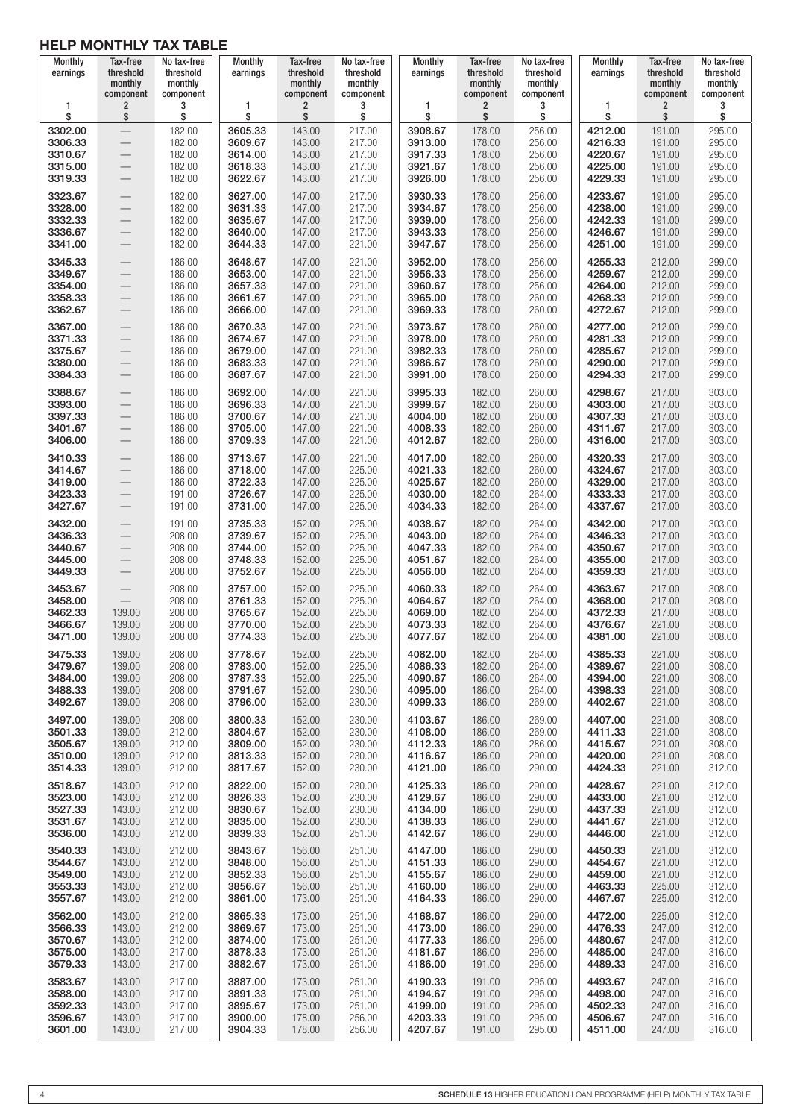| Monthly<br>earnings                                 | Tax-free<br>threshold<br>monthly<br>component        | No tax-free<br>threshold<br>monthly<br>component | Monthly<br>earnings                                 | Tax-free<br>threshold<br>monthly<br>component  | No tax-free<br>threshold<br>monthly<br>component | <b>Monthly</b><br>earnings                          | Tax-free<br>threshold<br>monthly<br>component  | No tax-free<br>threshold<br>monthly<br>component | Monthly<br>earnings                                 | Tax-free<br>threshold<br>monthly<br>component  | No tax-free<br>threshold<br>monthly<br>component |
|-----------------------------------------------------|------------------------------------------------------|--------------------------------------------------|-----------------------------------------------------|------------------------------------------------|--------------------------------------------------|-----------------------------------------------------|------------------------------------------------|--------------------------------------------------|-----------------------------------------------------|------------------------------------------------|--------------------------------------------------|
| 1                                                   | 2                                                    | 3                                                | 1                                                   | $\overline{2}$                                 | 3                                                | 1                                                   | 2                                              | 3                                                | 1                                                   | $\overline{\mathbf{c}}$                        | 3                                                |
| \$                                                  | \$                                                   | \$                                               | \$                                                  | \$                                             | \$                                               | \$                                                  | \$                                             | \$                                               | \$                                                  | \$                                             | \$                                               |
| 3302.00<br>3306.33<br>3310.67<br>3315.00<br>3319.33 | $\overline{\phantom{0}}$<br>$\overline{\phantom{0}}$ | 182.00<br>182.00<br>182.00<br>182.00<br>182.00   | 3605.33<br>3609.67<br>3614.00<br>3618.33<br>3622.67 | 143.00<br>143.00<br>143.00<br>143.00<br>143.00 | 217.00<br>217.00<br>217.00<br>217.00<br>217.00   | 3908.67<br>3913.00<br>3917.33<br>3921.67<br>3926.00 | 178.00<br>178.00<br>178.00<br>178.00<br>178.00 | 256.00<br>256.00<br>256.00<br>256.00<br>256.00   | 4212.00<br>4216.33<br>4220.67<br>4225.00<br>4229.33 | 191.00<br>191.00<br>191.00<br>191.00<br>191.00 | 295.00<br>295.00<br>295.00<br>295.00<br>295.00   |
| 3323.67                                             |                                                      | 182.00                                           | 3627.00                                             | 147.00                                         | 217.00                                           | 3930.33                                             | 178.00                                         | 256.00                                           | 4233.67                                             | 191.00                                         | 295.00                                           |
| 3328.00                                             |                                                      | 182.00                                           | 3631.33                                             | 147.00                                         | 217.00                                           | 3934.67                                             | 178.00                                         | 256.00                                           | 4238.00                                             | 191.00                                         | 299.00                                           |
| 3332.33                                             |                                                      | 182.00                                           | 3635.67                                             | 147.00                                         | 217.00                                           | 3939.00                                             | 178.00                                         | 256.00                                           | 4242.33                                             | 191.00                                         | 299.00                                           |
| 3336.67                                             |                                                      | 182.00                                           | 3640.00                                             | 147.00                                         | 217.00                                           | 3943.33                                             | 178.00                                         | 256.00                                           | 4246.67                                             | 191.00                                         | 299.00                                           |
| 3341.00                                             |                                                      | 182.00                                           | 3644.33                                             | 147.00                                         | 221.00                                           | 3947.67                                             | 178.00                                         | 256.00                                           | 4251.00                                             | 191.00                                         | 299.00                                           |
| 3345.33                                             | $\overline{\phantom{0}}$                             | 186.00                                           | 3648.67                                             | 147.00                                         | 221.00                                           | 3952.00                                             | 178.00                                         | 256.00                                           | 4255.33                                             | 212.00                                         | 299.00                                           |
| 3349.67                                             |                                                      | 186.00                                           | 3653.00                                             | 147.00                                         | 221.00                                           | 3956.33                                             | 178.00                                         | 256.00                                           | 4259.67                                             | 212.00                                         | 299.00                                           |
| 3354.00                                             |                                                      | 186.00                                           | 3657.33                                             | 147.00                                         | 221.00                                           | 3960.67                                             | 178.00                                         | 256.00                                           | 4264.00                                             | 212.00                                         | 299.00                                           |
| 3358.33                                             |                                                      | 186.00                                           | 3661.67                                             | 147.00                                         | 221.00                                           | 3965.00                                             | 178.00                                         | 260.00                                           | 4268.33                                             | 212.00                                         | 299.00                                           |
| 3362.67                                             |                                                      | 186.00                                           | 3666.00                                             | 147.00                                         | 221.00                                           | 3969.33                                             | 178.00                                         | 260.00                                           | 4272.67                                             | 212.00                                         | 299.00                                           |
| 3367.00                                             | $\qquad \qquad -$                                    | 186.00                                           | 3670.33                                             | 147.00                                         | 221.00                                           | 3973.67                                             | 178.00                                         | 260.00                                           | 4277.00                                             | 212.00                                         | 299.00                                           |
| 3371.33                                             | $\qquad \qquad -$                                    | 186.00                                           | 3674.67                                             | 147.00                                         | 221.00                                           | 3978.00                                             | 178.00                                         | 260.00                                           | 4281.33                                             | 212.00                                         | 299.00                                           |
| 3375.67                                             | $\overline{\phantom{m}}$                             | 186.00                                           | 3679.00                                             | 147.00                                         | 221.00                                           | 3982.33                                             | 178.00                                         | 260.00                                           | 4285.67                                             | 212.00                                         | 299.00                                           |
| 3380.00                                             | $\qquad \qquad -$                                    | 186.00                                           | 3683.33                                             | 147.00                                         | 221.00                                           | 3986.67                                             | 178.00                                         | 260.00                                           | 4290.00                                             | 217.00                                         | 299.00                                           |
| 3384.33                                             | $\overline{\phantom{m}}$                             | 186.00                                           | 3687.67                                             | 147.00                                         | 221.00                                           | 3991.00                                             | 178.00                                         | 260.00                                           | 4294.33                                             | 217.00                                         | 299.00                                           |
| 3388.67                                             |                                                      | 186.00                                           | 3692.00                                             | 147.00                                         | 221.00                                           | 3995.33                                             | 182.00                                         | 260.00                                           | 4298.67                                             | 217.00                                         | 303.00                                           |
| 3393.00                                             | $\overline{\phantom{0}}$                             | 186.00                                           | 3696.33                                             | 147.00                                         | 221.00                                           | 3999.67                                             | 182.00                                         | 260.00                                           | 4303.00                                             | 217.00                                         | 303.00                                           |
| 3397.33                                             | $\overline{\phantom{0}}$                             | 186.00                                           | 3700.67                                             | 147.00                                         | 221.00                                           | 4004.00                                             | 182.00                                         | 260.00                                           | 4307.33                                             | 217.00                                         | 303.00                                           |
| 3401.67                                             | $\overline{\phantom{0}}$                             | 186.00                                           | 3705.00                                             | 147.00                                         | 221.00                                           | 4008.33                                             | 182.00                                         | 260.00                                           | 4311.67                                             | 217.00                                         | 303.00                                           |
| 3406.00                                             | $\overline{\phantom{0}}$                             | 186.00                                           | 3709.33                                             | 147.00                                         | 221.00                                           | 4012.67                                             | 182.00                                         | 260.00                                           | 4316.00                                             | 217.00                                         | 303.00                                           |
| 3410.33<br>3414.67<br>3419.00<br>3423.33<br>3427.67 |                                                      | 186.00<br>186.00<br>186.00<br>191.00<br>191.00   | 3713.67<br>3718.00<br>3722.33<br>3726.67<br>3731.00 | 147.00<br>147.00<br>147.00<br>147.00<br>147.00 | 221.00<br>225.00<br>225.00<br>225.00<br>225.00   | 4017.00<br>4021.33<br>4025.67<br>4030.00<br>4034.33 | 182.00<br>182.00<br>182.00<br>182.00<br>182.00 | 260.00<br>260.00<br>260.00<br>264.00<br>264.00   | 4320.33<br>4324.67<br>4329.00<br>4333.33<br>4337.67 | 217.00<br>217.00<br>217.00<br>217.00<br>217.00 | 303.00<br>303.00<br>303.00<br>303.00<br>303.00   |
| 3432.00                                             |                                                      | 191.00                                           | 3735.33                                             | 152.00                                         | 225.00                                           | 4038.67                                             | 182.00                                         | 264.00                                           | 4342.00                                             | 217.00                                         | 303.00                                           |
| 3436.33                                             |                                                      | 208.00                                           | 3739.67                                             | 152.00                                         | 225.00                                           | 4043.00                                             | 182.00                                         | 264.00                                           | 4346.33                                             | 217.00                                         | 303.00                                           |
| 3440.67                                             |                                                      | 208.00                                           | 3744.00                                             | 152.00                                         | 225.00                                           | 4047.33                                             | 182.00                                         | 264.00                                           | 4350.67                                             | 217.00                                         | 303.00                                           |
| 3445.00                                             |                                                      | 208.00                                           | 3748.33                                             | 152.00                                         | 225.00                                           | 4051.67                                             | 182.00                                         | 264.00                                           | 4355.00                                             | 217.00                                         | 303.00                                           |
| 3449.33                                             |                                                      | 208.00                                           | 3752.67                                             | 152.00                                         | 225.00                                           | 4056.00                                             | 182.00                                         | 264.00                                           | 4359.33                                             | 217.00                                         | 303.00                                           |
| 3453.67<br>3458.00<br>3462.33<br>3466.67<br>3471.00 | 139.00<br>139.00<br>139.00                           | 208.00<br>208.00<br>208.00<br>208.00<br>208.00   | 3757.00<br>3761.33<br>3765.67<br>3770.00<br>3774.33 | 152.00<br>152.00<br>152.00<br>152.00<br>152.00 | 225.00<br>225.00<br>225.00<br>225.00<br>225.00   | 4060.33<br>4064.67<br>4069.00<br>4073.33<br>4077.67 | 182.00<br>182.00<br>182.00<br>182.00<br>182.00 | 264.00<br>264.00<br>264.00<br>264.00<br>264.00   | 4363.67<br>4368.00<br>4372.33<br>4376.67<br>4381.00 | 217.00<br>217.00<br>217.00<br>221.00<br>221.00 | 308.00<br>308.00<br>308.00<br>308.00<br>308.00   |
| 3475.33                                             | 139.00                                               | 208.00                                           | 3778.67                                             | 152.00                                         | 225.00                                           | 4082.00                                             | 182.00                                         | 264.00                                           | 4385.33                                             | 221.00                                         | 308.00                                           |
| 3479.67                                             | 139.00                                               | 208.00                                           | 3783.00                                             | 152.00                                         | 225.00                                           | 4086.33                                             | 182.00                                         | 264.00                                           | 4389.67                                             | 221.00                                         | 308.00                                           |
| 3484.00                                             | 139.00                                               | 208.00                                           | 3787.33                                             | 152.00                                         | 225.00                                           | 4090.67                                             | 186.00                                         | 264.00                                           | 4394.00                                             | 221.00                                         | 308.00                                           |
| 3488.33                                             | 139.00                                               | 208.00                                           | 3791.67                                             | 152.00                                         | 230.00                                           | 4095.00                                             | 186.00                                         | 264.00                                           | 4398.33                                             | 221.00                                         | 308.00                                           |
| 3492.67                                             | 139.00                                               | 208.00                                           | 3796.00                                             | 152.00                                         | 230.00                                           | 4099.33                                             | 186.00                                         | 269.00                                           | 4402.67                                             | 221.00                                         | 308.00                                           |
| 3497.00                                             | 139.00                                               | 208.00                                           | 3800.33                                             | 152.00                                         | 230.00                                           | 4103.67                                             | 186.00                                         | 269.00                                           | 4407.00                                             | 221.00                                         | 308.00                                           |
| 3501.33                                             | 139.00                                               | 212.00                                           | 3804.67                                             | 152.00                                         | 230.00                                           | 4108.00                                             | 186.00                                         | 269.00                                           | 4411.33                                             | 221.00                                         | 308.00                                           |
| 3505.67                                             | 139.00                                               | 212.00                                           | 3809.00                                             | 152.00                                         | 230.00                                           | 4112.33                                             | 186.00                                         | 286.00                                           | 4415.67                                             | 221.00                                         | 308.00                                           |
| 3510.00                                             | 139.00                                               | 212.00                                           | 3813.33                                             | 152.00                                         | 230.00                                           | 4116.67                                             | 186.00                                         | 290.00                                           | 4420.00                                             | 221.00                                         | 308.00                                           |
| 3514.33                                             | 139.00                                               | 212.00                                           | 3817.67                                             | 152.00                                         | 230.00                                           | 4121.00                                             | 186.00                                         | 290.00                                           | 4424.33                                             | 221.00                                         | 312.00                                           |
| 3518.67                                             | 143.00                                               | 212.00                                           | 3822.00                                             | 152.00                                         | 230.00                                           | 4125.33                                             | 186.00                                         | 290.00                                           | 4428.67                                             | 221.00                                         | 312.00                                           |
| 3523.00                                             | 143.00                                               | 212.00                                           | 3826.33                                             | 152.00                                         | 230.00                                           | 4129.67                                             | 186.00                                         | 290.00                                           | 4433.00                                             | 221.00                                         | 312.00                                           |
| 3527.33                                             | 143.00                                               | 212.00                                           | 3830.67                                             | 152.00                                         | 230.00                                           | 4134.00                                             | 186.00                                         | 290.00                                           | 4437.33                                             | 221.00                                         | 312.00                                           |
| 3531.67                                             | 143.00                                               | 212.00                                           | 3835.00                                             | 152.00                                         | 230.00                                           | 4138.33                                             | 186.00                                         | 290.00                                           | 4441.67                                             | 221.00                                         | 312.00                                           |
| 3536.00                                             | 143.00                                               | 212.00                                           | 3839.33                                             | 152.00                                         | 251.00                                           | 4142.67                                             | 186.00                                         | 290.00                                           | 4446.00                                             | 221.00                                         | 312.00                                           |
| 3540.33                                             | 143.00                                               | 212.00                                           | 3843.67                                             | 156.00                                         | 251.00                                           | 4147.00                                             | 186.00                                         | 290.00                                           | 4450.33                                             | 221.00                                         | 312.00                                           |
| 3544.67                                             | 143.00                                               | 212.00                                           | 3848.00                                             | 156.00                                         | 251.00                                           | 4151.33                                             | 186.00                                         | 290.00                                           | 4454.67                                             | 221.00                                         | 312.00                                           |
| 3549.00                                             | 143.00                                               | 212.00                                           | 3852.33                                             | 156.00                                         | 251.00                                           | 4155.67                                             | 186.00                                         | 290.00                                           | 4459.00                                             | 221.00                                         | 312.00                                           |
| 3553.33                                             | 143.00                                               | 212.00                                           | 3856.67                                             | 156.00                                         | 251.00                                           | 4160.00                                             | 186.00                                         | 290.00                                           | 4463.33                                             | 225.00                                         | 312.00                                           |
| 3557.67                                             | 143.00                                               | 212.00                                           | 3861.00                                             | 173.00                                         | 251.00                                           | 4164.33                                             | 186.00                                         | 290.00                                           | 4467.67                                             | 225.00                                         | 312.00                                           |
| 3562.00                                             | 143.00                                               | 212.00                                           | 3865.33                                             | 173.00                                         | 251.00                                           | 4168.67                                             | 186.00                                         | 290.00                                           | 4472.00                                             | 225.00                                         | 312.00                                           |
| 3566.33                                             | 143.00                                               | 212.00                                           | 3869.67                                             | 173.00                                         | 251.00                                           | 4173.00                                             | 186.00                                         | 290.00                                           | 4476.33                                             | 247.00                                         | 312.00                                           |
| 3570.67                                             | 143.00                                               | 212.00                                           | 3874.00                                             | 173.00                                         | 251.00                                           | 4177.33                                             | 186.00                                         | 295.00                                           | 4480.67                                             | 247.00                                         | 312.00                                           |
| 3575.00                                             | 143.00                                               | 217.00                                           | 3878.33                                             | 173.00                                         | 251.00                                           | 4181.67                                             | 186.00                                         | 295.00                                           | 4485.00                                             | 247.00                                         | 316.00                                           |
| 3579.33                                             | 143.00                                               | 217.00                                           | 3882.67                                             | 173.00                                         | 251.00                                           | 4186.00                                             | 191.00                                         | 295.00                                           | 4489.33                                             | 247.00                                         | 316.00                                           |
| 3583.67                                             | 143.00                                               | 217.00                                           | 3887.00                                             | 173.00                                         | 251.00                                           | 4190.33                                             | 191.00                                         | 295.00                                           | 4493.67                                             | 247.00                                         | 316.00                                           |
| 3588.00                                             | 143.00                                               | 217.00                                           | 3891.33                                             | 173.00                                         | 251.00                                           | 4194.67                                             | 191.00                                         | 295.00                                           | 4498.00                                             | 247.00                                         | 316.00                                           |
| 3592.33                                             | 143.00                                               | 217.00                                           | 3895.67                                             | 173.00                                         | 251.00                                           | 4199.00                                             | 191.00                                         | 295.00                                           | 4502.33                                             | 247.00                                         | 316.00                                           |
| 3596.67                                             | 143.00                                               | 217.00                                           | 3900.00                                             | 178.00                                         | 256.00                                           | 4203.33                                             | 191.00                                         | 295.00                                           | 4506.67                                             | 247.00                                         | 316.00                                           |
| 3601.00                                             | 143.00                                               | 217.00                                           | 3904.33                                             | 178.00                                         | 256.00                                           | 4207.67                                             | 191.00                                         | 295.00                                           | 4511.00                                             | 247.00                                         | 316.00                                           |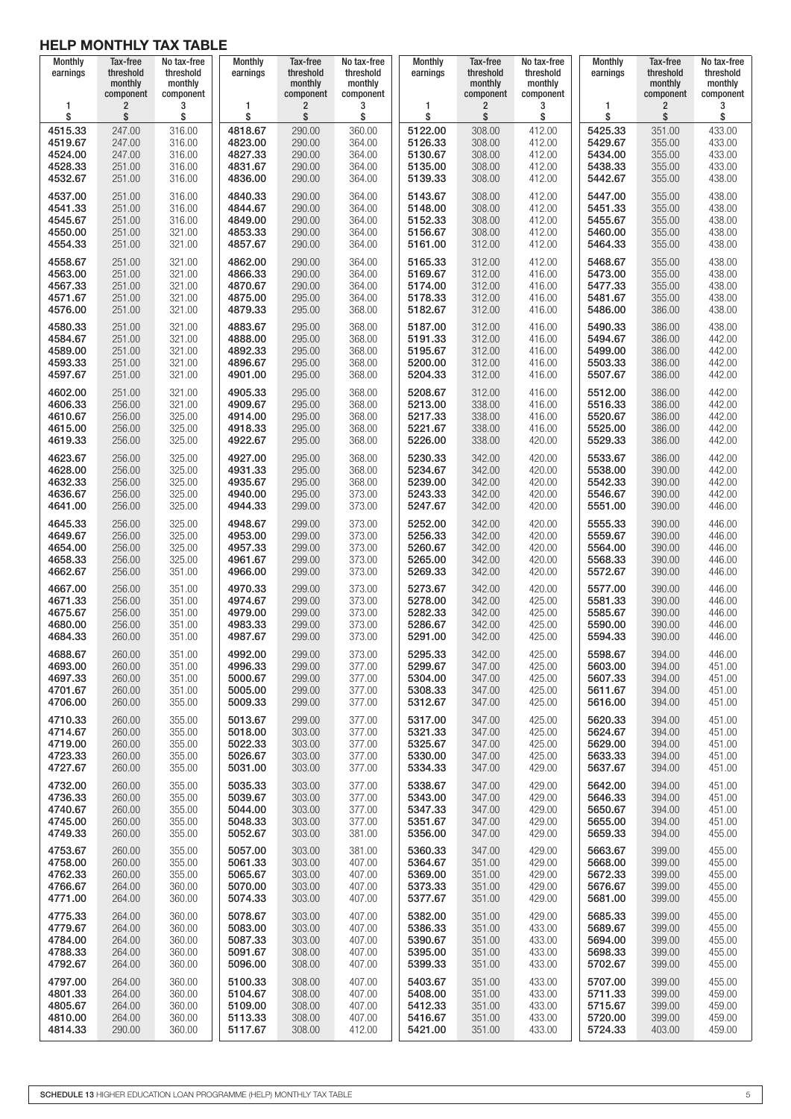| <b>Monthly</b><br>earnings | Tax-free<br>threshold<br>monthly<br>component | No tax-free<br>threshold<br>monthly<br>component | <b>Monthly</b><br>earnings | Tax-free<br>threshold<br>monthly<br>component | No tax-free<br>threshold<br>monthly<br>component | <b>Monthly</b><br>earnings | Tax-free<br>threshold<br>monthly<br>component | No tax-free<br>threshold<br>monthly<br>component | Monthly<br>earnings | Tax-free<br>threshold<br>monthly<br>component | No tax-free<br>threshold<br>monthly<br>component |
|----------------------------|-----------------------------------------------|--------------------------------------------------|----------------------------|-----------------------------------------------|--------------------------------------------------|----------------------------|-----------------------------------------------|--------------------------------------------------|---------------------|-----------------------------------------------|--------------------------------------------------|
| 1                          | $\overline{2}$                                | 3                                                | 1                          | $\overline{\mathbf{c}}$                       | 3                                                | 1                          | 2                                             | 3                                                | 1                   | $\overline{\mathbf{c}}$                       | 3                                                |
| \$                         | \$                                            | \$                                               | \$                         | \$                                            | \$                                               | \$                         | \$                                            | \$                                               | \$                  | \$                                            | \$                                               |
| 4515.33                    | 247.00                                        | 316.00                                           | 4818.67                    | 290.00                                        | 360.00                                           | 5122.00                    | 308.00                                        | 412.00                                           | 5425.33             | 351.00                                        | 433.00                                           |
| 4519.67                    | 247.00                                        | 316.00                                           | 4823.00                    | 290.00                                        | 364.00                                           | 5126.33                    | 308.00                                        | 412.00                                           | 5429.67             | 355.00                                        | 433.00                                           |
| 4524.00                    | 247.00                                        | 316.00                                           | 4827.33                    | 290.00                                        | 364.00                                           | 5130.67                    | 308.00                                        | 412.00                                           | 5434.00             | 355.00                                        | 433.00                                           |
| 4528.33                    | 251.00                                        | 316.00                                           | 4831.67                    | 290.00                                        | 364.00                                           | 5135.00                    | 308.00                                        | 412.00                                           | 5438.33             | 355.00                                        | 433.00                                           |
| 4532.67                    | 251.00                                        | 316.00                                           | 4836.00                    | 290.00                                        | 364.00                                           | 5139.33                    | 308.00                                        | 412.00                                           | 5442.67             | 355.00                                        | 438.00                                           |
| 4537.00                    | 251.00                                        | 316.00                                           | 4840.33                    | 290.00                                        | 364.00                                           | 5143.67                    | 308.00                                        | 412.00                                           | 5447.00             | 355.00                                        | 438.00                                           |
| 4541.33                    | 251.00                                        | 316.00                                           | 4844.67                    | 290.00                                        | 364.00                                           | 5148.00                    | 308.00                                        | 412.00                                           | 5451.33             | 355.00                                        | 438.00                                           |
| 4545.67                    | 251.00                                        | 316.00                                           | 4849.00                    | 290.00                                        | 364.00                                           | 5152.33                    | 308.00                                        | 412.00                                           | 5455.67             | 355.00                                        | 438.00                                           |
| 4550.00                    | 251.00                                        | 321.00                                           | 4853.33                    | 290.00                                        | 364.00                                           | 5156.67                    | 308.00                                        | 412.00                                           | 5460.00             | 355.00                                        | 438.00                                           |
| 4554.33                    | 251.00                                        | 321.00                                           | 4857.67                    | 290.00                                        | 364.00                                           | 5161.00                    | 312.00                                        | 412.00                                           | 5464.33             | 355.00                                        | 438.00                                           |
| 4558.67                    | 251.00                                        | 321.00                                           | 4862.00                    | 290.00                                        | 364.00                                           | 5165.33                    | 312.00                                        | 412.00                                           | 5468.67             | 355.00                                        | 438.00                                           |
| 4563.00                    | 251.00                                        | 321.00                                           | 4866.33                    | 290.00                                        | 364.00                                           | 5169.67                    | 312.00                                        | 416.00                                           | 5473.00             | 355.00                                        | 438.00                                           |
| 4567.33                    | 251.00                                        | 321.00                                           | 4870.67                    | 290.00                                        | 364.00                                           | 5174.00                    | 312.00                                        | 416.00                                           | 5477.33             | 355.00                                        | 438.00                                           |
| 4571.67                    | 251.00                                        | 321.00                                           | 4875.00                    | 295.00                                        | 364.00                                           | 5178.33                    | 312.00                                        | 416.00                                           | 5481.67             | 355.00                                        | 438.00                                           |
| 4576.00                    | 251.00                                        | 321.00                                           | 4879.33                    | 295.00                                        | 368.00                                           | 5182.67                    | 312.00                                        | 416.00                                           | 5486.00             | 386.00                                        | 438.00                                           |
| 4580.33                    | 251.00                                        | 321.00                                           | 4883.67                    | 295.00                                        | 368.00                                           | 5187.00                    | 312.00                                        | 416.00                                           | 5490.33             | 386.00                                        | 438.00                                           |
| 4584.67                    | 251.00                                        | 321.00                                           | 4888.00                    | 295.00                                        | 368.00                                           | 5191.33                    | 312.00                                        | 416.00                                           | 5494.67             | 386.00                                        | 442.00                                           |
| 4589.00                    | 251.00                                        | 321.00                                           | 4892.33                    | 295.00                                        | 368.00                                           | 5195.67                    | 312.00                                        | 416.00                                           | 5499.00             | 386.00                                        | 442.00                                           |
| 4593.33                    | 251.00                                        | 321.00                                           | 4896.67                    | 295.00                                        | 368.00                                           | 5200.00                    | 312.00                                        | 416.00                                           | 5503.33             | 386.00                                        | 442.00                                           |
| 4597.67                    | 251.00                                        | 321.00                                           | 4901.00                    | 295.00                                        | 368.00                                           | 5204.33                    | 312.00                                        | 416.00                                           | 5507.67             | 386.00                                        | 442.00                                           |
| 4602.00                    | 251.00                                        | 321.00                                           | 4905.33                    | 295.00                                        | 368.00                                           | 5208.67                    | 312.00                                        | 416.00                                           | 5512.00             | 386.00                                        | 442.00                                           |
| 4606.33                    | 256.00                                        | 321.00                                           | 4909.67                    | 295.00                                        | 368.00                                           | 5213.00                    | 338.00                                        | 416.00                                           | 5516.33             | 386.00                                        | 442.00                                           |
| 4610.67                    | 256.00                                        | 325.00                                           | 4914.00                    | 295.00                                        | 368.00                                           | 5217.33                    | 338.00                                        | 416.00                                           | 5520.67             | 386.00                                        | 442.00                                           |
| 4615.00                    | 256.00                                        | 325.00                                           | 4918.33                    | 295.00                                        | 368.00                                           | 5221.67                    | 338.00                                        | 416.00                                           | 5525.00             | 386.00                                        | 442.00                                           |
| 4619.33                    | 256.00                                        | 325.00                                           | 4922.67                    | 295.00                                        | 368.00                                           | 5226.00                    | 338.00                                        | 420.00                                           | 5529.33             | 386.00                                        | 442.00                                           |
| 4623.67                    | 256.00                                        | 325.00                                           | 4927.00                    | 295.00                                        | 368.00                                           | 5230.33                    | 342.00                                        | 420.00                                           | 5533.67             | 386.00                                        | 442.00                                           |
| 4628.00                    | 256.00                                        | 325.00                                           | 4931.33                    | 295.00                                        | 368.00                                           | 5234.67                    | 342.00                                        | 420.00                                           | 5538.00             | 390.00                                        | 442.00                                           |
| 4632.33                    | 256.00                                        | 325.00                                           | 4935.67                    | 295.00                                        | 368.00                                           | 5239.00                    | 342.00                                        | 420.00                                           | 5542.33             | 390.00                                        | 442.00                                           |
| 4636.67                    | 256.00                                        | 325.00                                           | 4940.00                    | 295.00                                        | 373.00                                           | 5243.33                    | 342.00                                        | 420.00                                           | 5546.67             | 390.00                                        | 442.00                                           |
| 4641.00                    | 256.00                                        | 325.00                                           | 4944.33                    | 299.00                                        | 373.00                                           | 5247.67                    | 342.00                                        | 420.00                                           | 5551.00             | 390.00                                        | 446.00                                           |
| 4645.33                    | 256.00                                        | 325.00                                           | 4948.67                    | 299.00                                        | 373.00                                           | 5252.00                    | 342.00                                        | 420.00                                           | 5555.33             | 390.00                                        | 446.00                                           |
| 4649.67                    | 256.00                                        | 325.00                                           | 4953.00                    | 299.00                                        | 373.00                                           | 5256.33                    | 342.00                                        | 420.00                                           | 5559.67             | 390.00                                        | 446.00                                           |
| 4654.00                    | 256.00                                        | 325.00                                           | 4957.33                    | 299.00                                        | 373.00                                           | 5260.67                    | 342.00                                        | 420.00                                           | 5564.00             | 390.00                                        | 446.00                                           |
| 4658.33                    | 256.00                                        | 325.00                                           | 4961.67                    | 299.00                                        | 373.00                                           | 5265.00                    | 342.00                                        | 420.00                                           | 5568.33             | 390.00                                        | 446.00                                           |
| 4662.67                    | 256.00                                        | 351.00                                           | 4966.00                    | 299.00                                        | 373.00                                           | 5269.33                    | 342.00                                        | 420.00                                           | 5572.67             | 390.00                                        | 446.00                                           |
| 4667.00                    | 256.00                                        | 351.00                                           | 4970.33                    | 299.00                                        | 373.00                                           | 5273.67                    | 342.00                                        | 420.00                                           | 5577.00             | 390.00                                        | 446.00                                           |
| 4671.33                    | 256.00                                        | 351.00                                           | 4974.67                    | 299.00                                        | 373.00                                           | 5278.00                    | 342.00                                        | 425.00                                           | 5581.33             | 390.00                                        | 446.00                                           |
| 4675.67                    | 256.00                                        | 351.00                                           | 4979.00                    | 299.00                                        | 373.00                                           | 5282.33                    | 342.00                                        | 425.00                                           | 5585.67             | 390.00                                        | 446.00                                           |
| 4680.00                    | 256.00                                        | 351.00                                           | 4983.33                    | 299.00                                        | 373.00                                           | 5286.67                    | 342.00                                        | 425.00                                           | 5590.00             | 390.00                                        | 446.00                                           |
| 4684.33                    | 260.00                                        | 351.00                                           | 4987.67                    | 299.00                                        | 373.00                                           | 5291.00                    | 342.00                                        | 425.00                                           | 5594.33             | 390.00                                        | 446.00                                           |
| 4688.67                    | 260.00                                        | 351.00                                           | 4992.00                    | 299.00                                        | 373.00                                           | 5295.33                    | 342.00                                        | 425.00                                           | 5598.67             | 394.00                                        | 446.00                                           |
| 4693.00                    | 260.00                                        | 351.00                                           | 4996.33                    | 299.00                                        | 377.00                                           | 5299.67                    | 347.00                                        | 425.00                                           | 5603.00             | 394.00                                        | 451.00                                           |
| 4697.33                    | 260.00                                        | 351.00                                           | 5000.67                    | 299.00                                        | 377.00                                           | 5304.00                    | 347.00                                        | 425.00                                           | 5607.33             | 394.00                                        | 451.00                                           |
| 4701.67                    | 260.00                                        | 351.00                                           | 5005.00                    | 299.00                                        | 377.00                                           | 5308.33                    | 347.00                                        | 425.00                                           | 5611.67             | 394.00                                        | 451.00                                           |
| 4706.00                    | 260.00                                        | 355.00                                           | 5009.33                    | 299.00                                        | 377.00                                           | 5312.67                    | 347.00                                        | 425.00                                           | 5616.00             | 394.00                                        | 451.00                                           |
| 4710.33                    | 260.00                                        | 355.00                                           | 5013.67                    | 299.00                                        | 377.00                                           | 5317.00                    | 347.00                                        | 425.00                                           | 5620.33             | 394.00                                        | 451.00                                           |
| 4714.67                    | 260.00                                        | 355.00                                           | 5018.00                    | 303.00                                        | 377.00                                           | 5321.33                    | 347.00                                        | 425.00                                           | 5624.67             | 394.00                                        | 451.00                                           |
| 4719.00                    | 260.00                                        | 355.00                                           | 5022.33                    | 303.00                                        | 377.00                                           | 5325.67                    | 347.00                                        | 425.00                                           | 5629.00             | 394.00                                        | 451.00                                           |
| 4723.33                    | 260.00                                        | 355.00                                           | 5026.67                    | 303.00                                        | 377.00                                           | 5330.00                    | 347.00                                        | 425.00                                           | 5633.33             | 394.00                                        | 451.00                                           |
| 4727.67                    | 260.00                                        | 355.00                                           | 5031.00                    | 303.00                                        | 377.00                                           | 5334.33                    | 347.00                                        | 429.00                                           | 5637.67             | 394.00                                        | 451.00                                           |
| 4732.00                    | 260.00                                        | 355.00                                           | 5035.33                    | 303.00                                        | 377.00                                           | 5338.67                    | 347.00                                        | 429.00                                           | 5642.00             | 394.00                                        | 451.00                                           |
| 4736.33                    | 260.00                                        | 355.00                                           | 5039.67                    | 303.00                                        | 377.00                                           | 5343.00                    | 347.00                                        | 429.00                                           | 5646.33             | 394.00                                        | 451.00                                           |
| 4740.67                    | 260.00                                        | 355.00                                           | 5044.00                    | 303.00                                        | 377.00                                           | 5347.33                    | 347.00                                        | 429.00                                           | 5650.67             | 394.00                                        | 451.00                                           |
| 4745.00                    | 260.00                                        | 355.00                                           | 5048.33                    | 303.00                                        | 377.00                                           | 5351.67                    | 347.00                                        | 429.00                                           | 5655.00             | 394.00                                        | 451.00                                           |
| 4749.33                    | 260.00                                        | 355.00                                           | 5052.67                    | 303.00                                        | 381.00                                           | 5356.00                    | 347.00                                        | 429.00                                           | 5659.33             | 394.00                                        | 455.00                                           |
| 4753.67                    | 260.00                                        | 355.00                                           | 5057.00                    | 303.00                                        | 381.00                                           | 5360.33                    | 347.00                                        | 429.00                                           | 5663.67             | 399.00                                        | 455.00                                           |
| 4758.00                    | 260.00                                        | 355.00                                           | 5061.33                    | 303.00                                        | 407.00                                           | 5364.67                    | 351.00                                        | 429.00                                           | 5668.00             | 399.00                                        | 455.00                                           |
| 4762.33                    | 260.00                                        | 355.00                                           | 5065.67                    | 303.00                                        | 407.00                                           | 5369.00                    | 351.00                                        | 429.00                                           | 5672.33             | 399.00                                        | 455.00                                           |
| 4766.67                    | 264.00                                        | 360.00                                           | 5070.00                    | 303.00                                        | 407.00                                           | 5373.33                    | 351.00                                        | 429.00                                           | 5676.67             | 399.00                                        | 455.00                                           |
| 4771.00                    | 264.00                                        | 360.00                                           | 5074.33                    | 303.00                                        | 407.00                                           | 5377.67                    | 351.00                                        | 429.00                                           | 5681.00             | 399.00                                        | 455.00                                           |
| 4775.33                    | 264.00                                        | 360.00                                           | 5078.67                    | 303.00                                        | 407.00                                           | 5382.00                    | 351.00                                        | 429.00                                           | 5685.33             | 399.00                                        | 455.00                                           |
| 4779.67                    | 264.00                                        | 360.00                                           | 5083.00                    | 303.00                                        | 407.00                                           | 5386.33                    | 351.00                                        | 433.00                                           | 5689.67             | 399.00                                        | 455.00                                           |
| 4784.00                    | 264.00                                        | 360.00                                           | 5087.33                    | 303.00                                        | 407.00                                           | 5390.67                    | 351.00                                        | 433.00                                           | 5694.00             | 399.00                                        | 455.00                                           |
| 4788.33                    | 264.00                                        | 360.00                                           | 5091.67                    | 308.00                                        | 407.00                                           | 5395.00                    | 351.00                                        | 433.00                                           | 5698.33             | 399.00                                        | 455.00                                           |
| 4792.67                    | 264.00                                        | 360.00                                           | 5096.00                    | 308.00                                        | 407.00                                           | 5399.33                    | 351.00                                        | 433.00                                           | 5702.67             | 399.00                                        | 455.00                                           |
| 4797.00                    | 264.00                                        | 360.00                                           | 5100.33                    | 308.00                                        | 407.00                                           | 5403.67                    | 351.00                                        | 433.00                                           | 5707.00             | 399.00                                        | 455.00                                           |
| 4801.33                    | 264.00                                        | 360.00                                           | 5104.67                    | 308.00                                        | 407.00                                           | 5408.00                    | 351.00                                        | 433.00                                           | 5711.33             | 399.00                                        | 459.00                                           |
| 4805.67                    | 264.00                                        | 360.00                                           | 5109.00                    | 308.00                                        | 407.00                                           | 5412.33                    | 351.00                                        | 433.00                                           | 5715.67             | 399.00                                        | 459.00                                           |
| 4810.00                    | 264.00                                        | 360.00                                           | 5113.33                    | 308.00                                        | 407.00                                           | 5416.67                    | 351.00                                        | 433.00                                           | 5720.00             | 399.00                                        | 459.00                                           |
| 4814.33                    | 290.00                                        | 360.00                                           | 5117.67                    | 308.00                                        | 412.00                                           | 5421.00                    | 351.00                                        | 433.00                                           | 5724.33             | 403.00                                        | 459.00                                           |